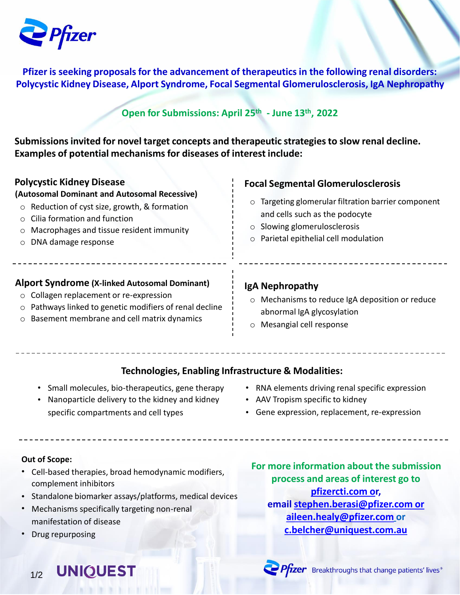

**Pfizer is seeking proposals for the advancement of therapeutics in the following renal disorders: Polycystic Kidney Disease, Alport Syndrome, Focal Segmental Glomerulosclerosis, IgA Nephropathy**

## **Open for Submissions: April 25th - June 13 th, 2022**

**Submissions invited for novel target concepts and therapeutic strategies to slow renal decline. Examples of potential mechanisms for diseases of interest include:**

| <b>Polycystic Kidney Disease</b><br>(Autosomal Dominant and Autosomal Recessive)<br>$\circ$ Reduction of cyst size, growth, & formation<br>Cilia formation and function<br>$\circ$<br>Macrophages and tissue resident immunity<br>$\circ$<br>DNA damage response<br>$\circ$ | <b>Focal Segmental Glomerulosclerosis</b><br>Targeting glomerular filtration barrier component<br>$\circ$<br>and cells such as the podocyte<br>Slowing glomerulosclerosis<br>$\circ$<br>Parietal epithelial cell modulation<br>$\circ$ |  |
|-----------------------------------------------------------------------------------------------------------------------------------------------------------------------------------------------------------------------------------------------------------------------------|----------------------------------------------------------------------------------------------------------------------------------------------------------------------------------------------------------------------------------------|--|
| <b>Alport Syndrome (X-linked Autosomal Dominant)</b><br>Collagen replacement or re-expression<br>$\circ$<br>Pathways linked to genetic modifiers of renal decline<br>$\circ$<br>○ Basement membrane and cell matrix dynamics                                                | IgA Nephropathy<br>Mechanisms to reduce IgA deposition or reduce<br>$\circ$<br>abnormal IgA glycosylation<br>Massacial sell respected                                                                                                  |  |

## o Mesangial cell response

## **Technologies, Enabling Infrastructure & Modalities:**

- Small molecules, bio-therapeutics, gene therapy
- Nanoparticle delivery to the kidney and kidney AAV Tropism specific to kidney specific compartments and cell types
- RNA elements driving renal specific expression
	-
	- Gene expression, replacement, re-expression

- 
- Cell-based therapies, broad hemodynamic modifiers, complement inhibitors
- Standalone biomarker assays/platforms, medical devices
- Mechanisms specifically targeting non-renal manifestation of disease
- Drug repurposing

**Out of Scope: For more information about the submission process and areas of interest go to [pfizercti.com](https://www.pfizercti.com/#Submit) or, email [stephen.berasi@pfizer.com](mailto:stephen.berasi@pfizer.com) or [aileen.healy@pfizer.com](mailto:aileen.healy@pfizer.com) or [c.belcher@uniquest.com.au](mailto:c.belcher@uniquest.com.au?subject=Pfizer%20CTI%20Rental%20disease)**

**UNIQUEST** 1/2